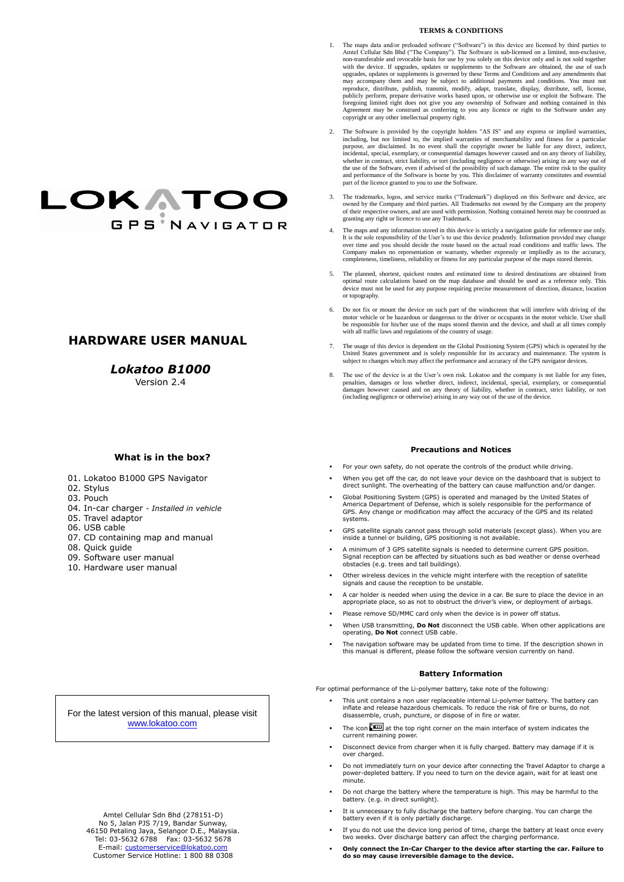For the latest version of this manual, please visit [www.lokatoo.com](http://www.lokatoo.com/)

# **LOKATOO GPS NAVIGATOR**

## **HARDWARE USER MANUAL**

## *Lokatoo B1000*

Version 2.4

#### **TERMS & CONDITIONS**

- 1. The maps data and/or preloaded software ("Software") in this device are licensed by third parties to Amtel Cellular Sdn Bhd ("The Company"). The Software is sub-licensed on a limited, non-exclusive, non-transferable and revocable basis for use by you solely on this device only and is not sold together with the device. If upgrades, updates or supplements to the Software are obtained, the use of such upgrades, updates or supplements is governed by these Terms and Conditions and any amendments that may accompany them and may be subject to additional payments and conditions. You must not reproduce, distribute, publish, transmit, modify, adapt, translate, display, distribute, sell, license, publicly perform, prepare derivative works based upon, or otherwise use or exploit the Software. The foregoing limited right does not give you any ownership of Software and nothing contained in this Agreement may be construed as conferring to you any licence or right to the Software under any copyright or any other intellectual property right.
- 2. The Software is provided by the copyright holders "AS IS" and any express or implied warranties, including, but not limited to, the implied warranties of merchantability and fitness for a particular purpose, are disclaimed. In no event shall the copyright owner be liable for any direct, indirect, incidental, special, exemplary, or consequential damages however caused and on any theory of liability, whether in contract, strict liability, or tort (including negligence or otherwise) arising in any way out of the use of the Software, even if advised of the possibility of such damage. The entire risk to the quality and performance of the Software is borne by you. This disclaimer of warranty constitutes and essential part of the licence granted to you to use the Software.
- 3. The trademarks, logos, and service marks ("Trademark") displayed on this Software and device, are owned by the Company and third parties. All Trademarks not owned by the Company are the property of their respective owners, and are used with permission. Nothing contained herein may be construed as granting any right or licence to use any Trademark.
- 4. The maps and any information stored in this device is strictly a navigation guide for reference use only. It is the sole responsibility of the User's to use this device prudently. Information provided may change over time and you should decide the route based on the actual road conditions and traffic laws. The Company makes no representation or warranty, whether expressly or impliedly as to the accuracy, completeness, timeliness, reliability or fitness for any particular purpose of the maps stored therein.
- 5. The planned, shortest, quickest routes and estimated time to desired destinations are obtained from optimal route calculations based on the map database and should be used as a reference only. This device must not be used for any purpose requiring precise measurement of direction, distance, location or topography.
- 6. Do not fix or mount the device on such part of the windscreen that will interfere with driving of the motor vehicle or be hazardous or dangerous to the driver or occupants in the motor vehicle. User shall be responsible for his/her use of the maps stored therein and the device, and shall at all times comply with all traffic laws and regulations of the country of usage.
- 7. The usage of this device is dependent on the Global Positioning System (GPS) which is operated by the United States government and is solely responsible for its accuracy and maintenance. The system is subject to changes which may affect the performance and accuracy of the GPS navigator devices.
- 8. The use of the device is at the User's own risk. Lokatoo and the company is not liable for any fines, penalties, damages or loss whether direct, indirect, incidental, special, exemplary, or consequential damages however caused and on any theory of liability, whether in contract, strict liability, or tort (including negligence or otherwise) arising in any way out of the use of the device.

#### **Precautions and Notices**

- For your own safety, do not operate the controls of the product while driving.
- When you get off the car, do not leave your device on the dashboard that is subject to direct sunlight. The overheating of the battery can cause malfunction and/or danger.
- Global Positioning System (GPS) is operated and managed by the United States of America Department of Defense, which is solely responsible for the performance of GPS. Any change or modification may affect the accuracy of the GPS and its related systems.
- GPS satellite signals cannot pass through solid materials (except glass). When you are inside a tunnel or building, GPS positioning is not available.
- A minimum of 3 GPS satellite signals is needed to determine current GPS position. Signal reception can be affected by situations such as bad weather or dense overhead obstacles (e.g. trees and tall buildings).
- Other wireless devices in the vehicle might interfere with the reception of satellite signals and cause the reception to be unstable.
- A car holder is needed when using the device in a car. Be sure to place the device in an appropriate place, so as not to obstruct the driver's view, or deployment of airbags.
- Please remove SD/MMC card only when the device is in power off status.
- When USB transmitting, **Do Not** disconnect the USB cable. When other applications are operating, **Do Not** connect USB cable.
- The navigation software may be updated from time to time. If the description shown in this manual is different, please follow the software version currently on hand.

#### **Battery Information**

For optimal performance of the Li-polymer battery, take note of the following:

- This unit contains a non user replaceable internal Li-polymer battery. The battery can inflate and release hazardous chemicals. To reduce the risk of fire or burns, do not disassemble, crush, puncture, or dispose of in fire or water.
- The icon  $\Box$  at the top right corner on the main interface of system indicates the current remaining power.
- Disconnect device from charger when it is fully charged. Battery may damage if it is over charged.
- Do not immediately turn on your device after connecting the Travel Adaptor to charge a power-depleted battery. If you need to turn on the device again, wait for at least one minute.
- Do not charge the battery where the temperature is high. This may be harmful to the battery. (e.g. in direct sunlight).
- It is unnecessary to fully discharge the battery before charging. You can charge the battery even if it is only partially discharge.
- If you do not use the device long period of time, charge the battery at least once every two weeks. Over discharge battery can affect the charging performance.
- **Only connect the In-Car Charger to the device after starting the car. Failure to do so may cause irreversible damage to the device.**

Amtel Cellular Sdn Bhd (278151-D) No 5, Jalan PJS 7/19, Bandar Sunway, 46150 Petaling Jaya, Selangor D.E., Malaysia. Tel: 03-5632 6788 Fax: 03-5632 5678 E-mail: [customerservice@lokatoo.com](mailto:customerservice@lokatoo.com) Customer Service Hotline: 1 800 88 0308

## **What is in the box?**

- 01. Lokatoo B1000 GPS Navigator
- 02. Stylus
- 03. Pouch
- 04. In-car charger *- Installed in vehicle*
- 05. Travel adaptor
- 06. USB cable
- 07. CD containing map and manual
- 08. Quick guide
- 09. Software user manual
- 10. Hardware user manual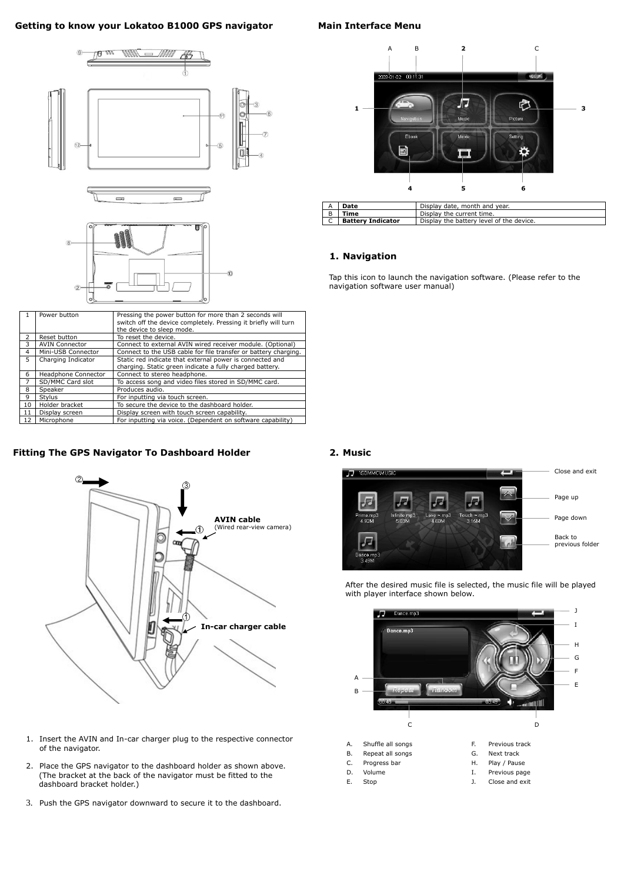## **Getting to know your Lokatoo B1000 GPS navigator**

| Т.                       | Power button                                                                          | Pressing the power button for more than 2 seconds will<br>switch off the device completely. Pressing it briefly will turn |  |
|--------------------------|---------------------------------------------------------------------------------------|---------------------------------------------------------------------------------------------------------------------------|--|
|                          |                                                                                       |                                                                                                                           |  |
|                          |                                                                                       | the device to sleep mode.                                                                                                 |  |
| 2                        | Reset button                                                                          | To reset the device.                                                                                                      |  |
| 3                        | <b>AVIN Connector</b>                                                                 | Connect to external AVIN wired receiver module. (Optional)                                                                |  |
| 4                        | Connect to the USB cable for file transfer or battery charging.<br>Mini-USB Connector |                                                                                                                           |  |
| 5.<br>Charging Indicator |                                                                                       | Static red indicate that external power is connected and                                                                  |  |
|                          |                                                                                       | charging. Static green indicate a fully charged battery.                                                                  |  |
| 6                        | Headphone Connector                                                                   | Connect to stereo headphone.                                                                                              |  |
|                          | SD/MMC Card slot                                                                      | To access song and video files stored in SD/MMC card.                                                                     |  |
| 8                        | Speaker                                                                               | Produces audio.                                                                                                           |  |
| 9                        | Stylus                                                                                | For inputting via touch screen.                                                                                           |  |
| 10                       | Holder bracket<br>To secure the device to the dashboard holder.                       |                                                                                                                           |  |
| 11                       | Display screen                                                                        | Display screen with touch screen capability.                                                                              |  |
| 12                       | Microphone                                                                            | For inputting via voice. (Dependent on software capability)                                                               |  |

- 2. Place the GPS navigator to the dashboard holder as shown above. (The bracket at the back of the navigator must be fitted to the dashboard bracket holder.)
- 3. Push the GPS navigator downward to secure it to the dashboard.
- A. Shuffle all songs The Revious track
- B. Repeat all songs G. Next track
- C. Progress bar M. H. Play / Pause
- 
- 
- 
- 
- 
- D. Volume and the U. Previous page
- E. Stop J. Close and exit

## **Main Interface Menu**







| A              | Display date, month and year.<br>Date |                                          |  |
|----------------|---------------------------------------|------------------------------------------|--|
| $\overline{B}$ | Time                                  | Display the current time.                |  |
| $\mathsf{C}$   | <b>Battery Indicator</b>              | Display the battery level of the device. |  |

## **1. Navigation**

Tap this icon to launch the navigation software. (Please refer to the navigation software user manual)

## **Fitting The GPS Navigator To Dashboard Holder**



## **2. Music**

After the desired music file is selected, the music file will be played with player interface shown below.







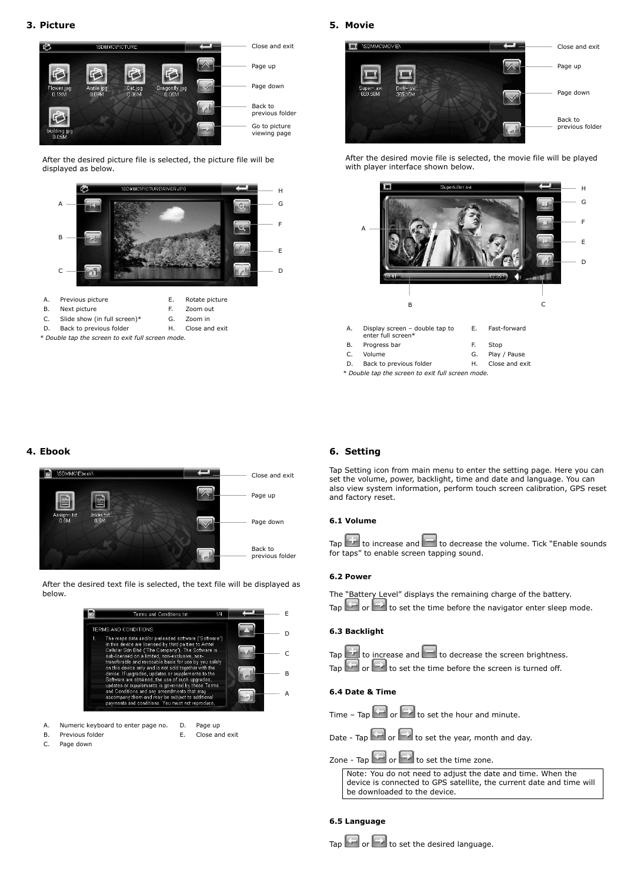## **3. Picture**

After the desired picture file is selected, the picture file will be displayed as below.

*\* Double tap the screen to exit full screen mode.*

## **5. Movie**

After the desired movie file is selected, the movie file will be played with player interface shown below.

*\* Double tap the screen to exit full screen mode.*

#### **4. Ebook**



Terms and Conditions.txt  $1/4$ E TERMS AND CONDITIONS D The maps data and/or preloaded software ("Software") in this device are licensed by third parties to Amtel Cellular Sdn Bhd ("The Company"). The Software is<br>sub-licensed on a limited, non-exclusive, non-C transferable and revocable basis for use by you solely

- A. Numeric keyboard to enter page no. D. Page up
- B. Previous folder **E.** Close and exit
- 
- C. Page down

#### Tap  $\sim$  or  $\sim$  to set the time before the screen is turned off.

## **6. Setting**

Tap Setting icon from main menu to enter the setting page. Here you can set the volume, power, backlight, time and date and language. You can also view system information, perform touch screen calibration, GPS reset and factory reset.

#### **6.1 Volume**



#### **6.2 Power**

The "Battery Level" displays the remaining charge of the battery.

Tap  $\sim$  or  $\sim$  to set the time before the navigator enter sleep mode.



#### **6.3 Backlight**

| Tap $\Box$ to increase and $\Box$ to decrease the screen brightness.                                        |
|-------------------------------------------------------------------------------------------------------------|
| $\overline{a}$ $\overline{b}$ $\overline{a}$ $\overline{b}$ to set the time before the series is turned off |



#### **6.4 Date & Time**

Time – Tap  $\left( - \right)$  or  $\left( - \right)$  to set the hour and minute.

Date - Tap  $\leftarrow$  or  $\leftarrow$  to set the year, month and day.

## Zone - Tap  $\sim$  or  $\sim$  to set the time zone.

Note: You do not need to adjust the date and time. When the device is connected to GPS satellite, the current date and time will be downloaded to the device.

## **6.5 Language**







- A. Previous picture **E.** Rotate picture
- B. Next picture F. Zoom out
- C. Slide show (in full screen)\* G. Zoom in
- D. Back to previous folder **H.** Close and exit



B

A